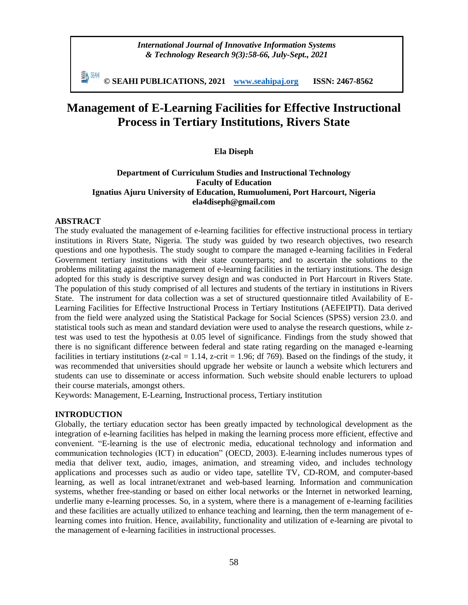*International Journal of Innovative Information Systems & Technology Research 9(3):58-66, July-Sept., 2021*

EN SEMI **© SEAHI PUBLICATIONS, 2021 [www.seahipaj.org](http://www.seahipaj.org/) ISSN: 2467-8562**

# **Management of E-Learning Facilities for Effective Instructional Process in Tertiary Institutions, Rivers State**

# **Ela Diseph**

#### **Department of Curriculum Studies and Instructional Technology Faculty of Education Ignatius Ajuru University of Education, Rumuolumeni, Port Harcourt, Nigeria ela4diseph@gmail.com**

#### **ABSTRACT**

The study evaluated the management of e-learning facilities for effective instructional process in tertiary institutions in Rivers State, Nigeria. The study was guided by two research objectives, two research questions and one hypothesis. The study sought to compare the managed e-learning facilities in Federal Government tertiary institutions with their state counterparts; and to ascertain the solutions to the problems militating against the management of e-learning facilities in the tertiary institutions. The design adopted for this study is descriptive survey design and was conducted in Port Harcourt in Rivers State. The population of this study comprised of all lectures and students of the tertiary in institutions in Rivers State. The instrument for data collection was a set of structured questionnaire titled Availability of E-Learning Facilities for Effective Instructional Process in Tertiary Institutions (AEFEIPTI). Data derived from the field were analyzed using the Statistical Package for Social Sciences (SPSS) version 23.0. and statistical tools such as mean and standard deviation were used to analyse the research questions, while ztest was used to test the hypothesis at 0.05 level of significance. Findings from the study showed that there is no significant difference between federal and state rating regarding on the managed e-learning facilities in tertiary institutions (z-cal = 1.14, z-crit = 1.96; df 769). Based on the findings of the study, it was recommended that universities should upgrade her website or launch a website which lecturers and students can use to disseminate or access information. Such website should enable lecturers to upload their course materials, amongst others.

Keywords: Management, E-Learning, Instructional process, Tertiary institution

#### **INTRODUCTION**

Globally, the tertiary education sector has been greatly impacted by technological development as the integration of e-learning facilities has helped in making the learning process more efficient, effective and convenient. "E-learning is the use of electronic media, educational technology and information and communication technologies (ICT) in education" (OECD, 2003). E-learning includes numerous types of media that deliver text, audio, images, animation, and streaming video, and includes technology applications and processes such as audio or video tape, satellite TV, CD-ROM, and computer-based learning, as well as local intranet/extranet and web-based learning. Information and communication systems, whether free-standing or based on either local networks or the Internet in networked learning, underlie many e-learning processes. So, in a system, where there is a management of e-learning facilities and these facilities are actually utilized to enhance teaching and learning, then the term management of elearning comes into fruition. Hence, availability, functionality and utilization of e-learning are pivotal to the management of e-learning facilities in instructional processes.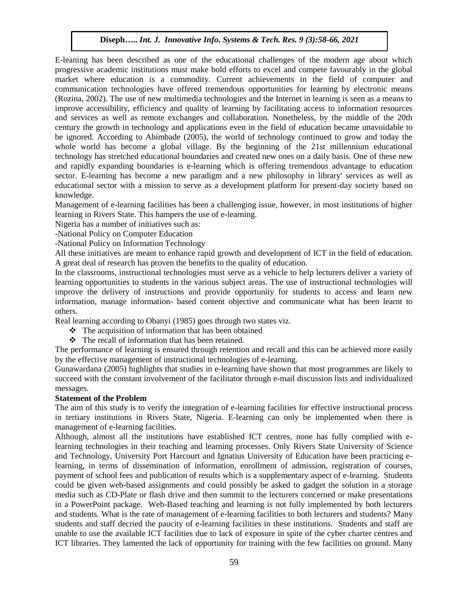E-leaning has been described as one of the educational challenges of the modern age about which progressive academic institutions must make bold efforts to excel and compete favourably in the global market where education is a commodity. Current achievements in the field of computer and communication technologies have offered tremendous opportunities for learning by electronic means (Rozina, 2002). The use of new multimedia technologies and the Internet in learning is seen as a means to improve accessibility, efficiency and quality of learning by facilitating access to information resources and services as well as remote exchanges and collaboration. Nonetheless, by the middle of the 20th century the growth in technology and applications even in the field of education became unavoidable to be ignored. According to Abimbade (2005), the world of technology continued to grow and today the whole world has become a global village. By the beginning of the 21st millennium educational technology has stretched educational boundaries and created new ones on a daily basis. One of these new and rapidly expanding boundaries is e-learning which is offering tremendous advantage to education sector. E-learning has become a new paradigm and a new philosophy in library' services as well as educational sector with a mission to serve as a development platform for present-day society based on knowledge.

Management of e-learning facilities has been a challenging issue, however, in most institutions of higher learning in Rivers State. This hampers the use of e-learning.

Nigeria has a number of initiatives such as:

-National Policy on Computer Education

-National Policy on Information Technology

All these initiatives are meant to enhance rapid growth and development of ICT in the field of education. A great deal of research has proven the benefits to the quality of education.

In the classrooms, instructional technologies must serve as a vehicle to help lecturers deliver a variety of learning opportunities to students in the various subject areas. The use of instructional technologies will improve the delivery of instructions and provide opportunity for students to access and learn new information, manage information- based content objective and communicate what has been learnt to others.

Real learning according to Obanyi (1985) goes through two states viz.

- $\hat{\cdot}$  The acquisition of information that has been obtained
- $\hat{\cdot}$  The recall of information that has been retained.

The performance of learning is ensured through retention and recall and this can be achieved more easily by the effective management of instructional technologies of e-learning.

Gunawardana (2005) highlights that studies in e-learning have shown that most programmes are likely to succeed with the constant involvement of the facilitator through e-mail discussion lists and individualized messages.

# **Statement of the Problem**

The aim of this study is to verify the integration of e-learning facilities for effective instructional process in tertiary institutions in Rivers State, Nigeria. E-learning can only be implemented when there is management of e-learning facilities.

Although, almost all the institutions have established ICT centres, none has fully complied with elearning technologies in their teaching and learning processes. Only Rivers State University of Science and Technology, University Port Harcourt and Ignatius University of Education have been practicing elearning, in terms of dissemination of information, enrollment of admission, registration of courses, payment of school fees and publication of results which is a supplementary aspect of e-learning. Students could be given web-based assignments and could possibly be asked to gadget the solution in a storage media such as CD-Plate or flash drive and then summit to the lecturers concerned or make presentations in a PowerPoint package. Web-Based teaching and learning is not fully implemented by both lecturers and students. What is the rate of management of e-learning facilities to both lecturers and students? Many students and staff decried the paucity of e-learning facilities in these institutions. Students and staff are unable to use the available ICT facilities due to lack of exposure in spite of the cyber charter centres and ICT libraries. They lamented the lack of opportunity for training with the few facilities on ground. Many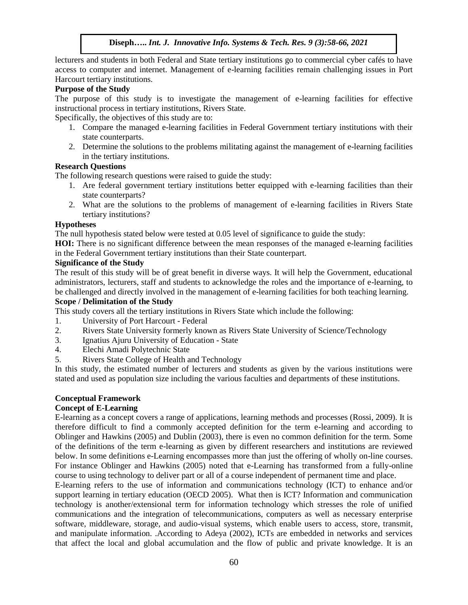lecturers and students in both Federal and State tertiary institutions go to commercial cyber cafés to have access to computer and internet. Management of e-learning facilities remain challenging issues in Port Harcourt tertiary institutions.

# **Purpose of the Study**

The purpose of this study is to investigate the management of e-learning facilities for effective instructional process in tertiary institutions, Rivers State.

Specifically, the objectives of this study are to:

- 1. Compare the managed e-learning facilities in Federal Government tertiary institutions with their state counterparts.
- 2. Determine the solutions to the problems militating against the management of e-learning facilities in the tertiary institutions.

# **Research Questions**

The following research questions were raised to guide the study:

- 1. Are federal government tertiary institutions better equipped with e-learning facilities than their state counterparts?
- 2. What are the solutions to the problems of management of e-learning facilities in Rivers State tertiary institutions?

#### **Hypotheses**

The null hypothesis stated below were tested at 0.05 level of significance to guide the study:

**HOI:** There is no significant difference between the mean responses of the managed e-learning facilities in the Federal Government tertiary institutions than their State counterpart.

# **Significance of the Study**

The result of this study will be of great benefit in diverse ways. It will help the Government, educational administrators, lecturers, staff and students to acknowledge the roles and the importance of e-learning, to be challenged and directly involved in the management of e-learning facilities for both teaching learning.

#### **Scope / Delimitation of the Study**

This study covers all the tertiary institutions in Rivers State which include the following:

- 1. University of Port Harcourt Federal
- 2. Rivers State University formerly known as Rivers State University of Science/Technology
- 3. Ignatius Ajuru University of Education State
- 4. Elechi Amadi Polytechnic State
- 5. Rivers State College of Health and Technology

In this study, the estimated number of lecturers and students as given by the various institutions were stated and used as population size including the various faculties and departments of these institutions.

#### **Conceptual Framework**

# **Concept of E-Learning**

E-learning as a concept covers a range of applications, learning methods and processes (Rossi, 2009). It is therefore difficult to find a commonly accepted definition for the term e-learning and according to Oblinger and Hawkins (2005) and Dublin (2003), there is even no common definition for the term. Some of the definitions of the term e-learning as given by different researchers and institutions are reviewed below. In some definitions e-Learning encompasses more than just the offering of wholly on-line courses. For instance Oblinger and Hawkins (2005) noted that e-Learning has transformed from a fully-online course to using technology to deliver part or all of a course independent of permanent time and place.

E-learning refers to the use of information and communications technology (ICT) to enhance and/or support learning in tertiary education (OECD 2005). What then is ICT? Information and communication technology is another/extensional term for information technology which stresses the role of unified communications and the integration of telecommunications, computers as well as necessary enterprise software, middleware, storage, and audio-visual systems, which enable users to access, store, transmit, and manipulate information. .According to Adeya (2002), ICTs are embedded in networks and services that affect the local and global accumulation and the flow of public and private knowledge. It is an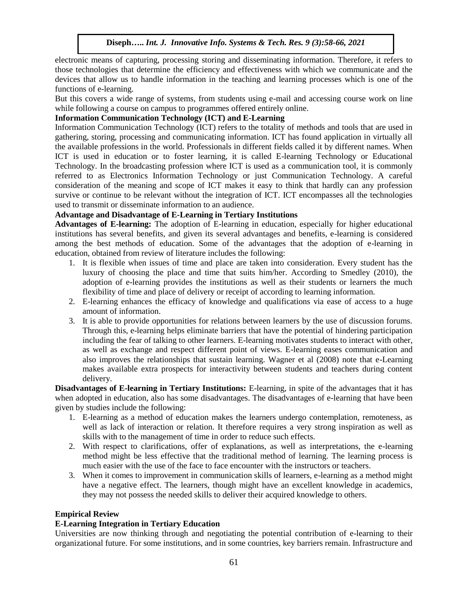electronic means of capturing, processing storing and disseminating information. Therefore, it refers to those technologies that determine the efficiency and effectiveness with which we communicate and the devices that allow us to handle information in the teaching and learning processes which is one of the functions of e-learning.

But this covers a wide range of systems, from students using e-mail and accessing course work on line while following a course on campus to programmes offered entirely online.

# **Information Communication Technology (ICT) and E-Learning**

Information Communication Technology (ICT) refers to the totality of methods and tools that are used in gathering, storing, processing and communicating information. ICT has found application in virtually all the available professions in the world. Professionals in different fields called it by different names. When ICT is used in education or to foster learning, it is called E-learning Technology or Educational Technology. In the broadcasting profession where ICT is used as a communication tool, it is commonly referred to as Electronics Information Technology or just Communication Technology. A careful consideration of the meaning and scope of ICT makes it easy to think that hardly can any profession survive or continue to be relevant without the integration of ICT. ICT encompasses all the technologies used to transmit or disseminate information to an audience.

# **Advantage and Disadvantage of E-Learning in Tertiary Institutions**

**Advantages of E-learning:** The adoption of E-learning in education, especially for higher educational institutions has several benefits, and given its several advantages and benefits, e-learning is considered among the best methods of education. Some of the advantages that the adoption of e-learning in education, obtained from review of literature includes the following:

- 1. It is flexible when issues of time and place are taken into consideration. Every student has the luxury of choosing the place and time that suits him/her. According to Smedley (2010), the adoption of e-learning provides the institutions as well as their students or learners the much flexibility of time and place of delivery or receipt of according to learning information.
- 2. E-learning enhances the efficacy of knowledge and qualifications via ease of access to a huge amount of information.
- 3. It is able to provide opportunities for relations between learners by the use of discussion forums. Through this, e-learning helps eliminate barriers that have the potential of hindering participation including the fear of talking to other learners. E-learning motivates students to interact with other, as well as exchange and respect different point of views. E-learning eases communication and also improves the relationships that sustain learning. Wagner et al (2008) note that e-Learning makes available extra prospects for interactivity between students and teachers during content delivery.

**Disadvantages of E-learning in Tertiary Institutions:** E-learning, in spite of the advantages that it has when adopted in education, also has some disadvantages. The disadvantages of e-learning that have been given by studies include the following:

- 1. E-learning as a method of education makes the learners undergo contemplation, remoteness, as well as lack of interaction or relation. It therefore requires a very strong inspiration as well as skills with to the management of time in order to reduce such effects.
- 2. With respect to clarifications, offer of explanations, as well as interpretations, the e-learning method might be less effective that the traditional method of learning. The learning process is much easier with the use of the face to face encounter with the instructors or teachers.
- 3. When it comes to improvement in communication skills of learners, e-learning as a method might have a negative effect. The learners, though might have an excellent knowledge in academics, they may not possess the needed skills to deliver their acquired knowledge to others.

# **Empirical Review**

# **E-Learning Integration in Tertiary Education**

Universities are now thinking through and negotiating the potential contribution of e-learning to their organizational future. For some institutions, and in some countries, key barriers remain. Infrastructure and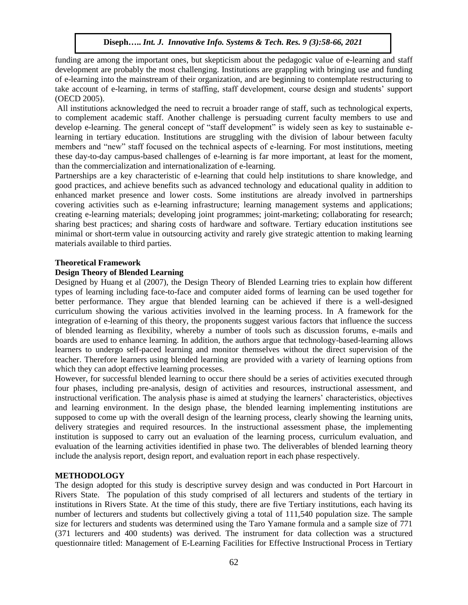funding are among the important ones, but skepticism about the pedagogic value of e-learning and staff development are probably the most challenging. Institutions are grappling with bringing use and funding of e-learning into the mainstream of their organization, and are beginning to contemplate restructuring to take account of e-learning, in terms of staffing, staff development, course design and students' support (OECD 2005).

All institutions acknowledged the need to recruit a broader range of staff, such as technological experts, to complement academic staff. Another challenge is persuading current faculty members to use and develop e-learning. The general concept of "staff development" is widely seen as key to sustainable elearning in tertiary education. Institutions are struggling with the division of labour between faculty members and "new" staff focused on the technical aspects of e-learning. For most institutions, meeting these day-to-day campus-based challenges of e-learning is far more important, at least for the moment, than the commercialization and internationalization of e-learning.

Partnerships are a key characteristic of e-learning that could help institutions to share knowledge, and good practices, and achieve benefits such as advanced technology and educational quality in addition to enhanced market presence and lower costs. Some institutions are already involved in partnerships covering activities such as e-learning infrastructure; learning management systems and applications; creating e-learning materials; developing joint programmes; joint-marketing; collaborating for research; sharing best practices; and sharing costs of hardware and software. Tertiary education institutions see minimal or short-term value in outsourcing activity and rarely give strategic attention to making learning materials available to third parties.

# **Theoretical Framework**

# **Design Theory of Blended Learning**

Designed by Huang et al (2007), the Design Theory of Blended Learning tries to explain how different types of learning including face-to-face and computer aided forms of learning can be used together for better performance. They argue that blended learning can be achieved if there is a well-designed curriculum showing the various activities involved in the learning process. In A framework for the integration of e-learning of this theory, the proponents suggest various factors that influence the success of blended learning as flexibility, whereby a number of tools such as discussion forums, e-mails and boards are used to enhance learning. In addition, the authors argue that technology-based-learning allows learners to undergo self-paced learning and monitor themselves without the direct supervision of the teacher. Therefore learners using blended learning are provided with a variety of learning options from which they can adopt effective learning processes.

However, for successful blended learning to occur there should be a series of activities executed through four phases, including pre-analysis, design of activities and resources, instructional assessment, and instructional verification. The analysis phase is aimed at studying the learners' characteristics, objectives and learning environment. In the design phase, the blended learning implementing institutions are supposed to come up with the overall design of the learning process, clearly showing the learning units, delivery strategies and required resources. In the instructional assessment phase, the implementing institution is supposed to carry out an evaluation of the learning process, curriculum evaluation, and evaluation of the learning activities identified in phase two. The deliverables of blended learning theory include the analysis report, design report, and evaluation report in each phase respectively.

# **METHODOLOGY**

The design adopted for this study is descriptive survey design and was conducted in Port Harcourt in Rivers State. The population of this study comprised of all lecturers and students of the tertiary in institutions in Rivers State. At the time of this study, there are five Tertiary institutions, each having its number of lecturers and students but collectively giving a total of 111,540 population size. The sample size for lecturers and students was determined using the Taro Yamane formula and a sample size of 771 (371 lecturers and 400 students) was derived. The instrument for data collection was a structured questionnaire titled: Management of E-Learning Facilities for Effective Instructional Process in Tertiary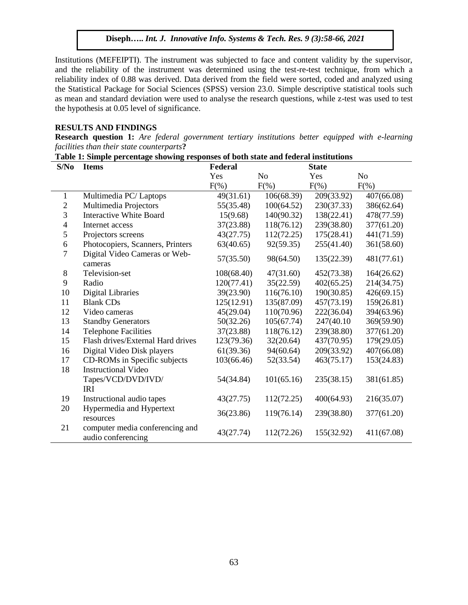Institutions (MEFEIPTI). The instrument was subjected to face and content validity by the supervisor, and the reliability of the instrument was determined using the test-re-test technique, from which a reliability index of 0.88 was derived. Data derived from the field were sorted, coded and analyzed using the Statistical Package for Social Sciences (SPSS) version 23.0. Simple descriptive statistical tools such as mean and standard deviation were used to analyse the research questions, while z-test was used to test the hypothesis at 0.05 level of significance.

#### **RESULTS AND FINDINGS**

**Research question 1:** *Are federal government tertiary institutions better equipped with e-learning facilities than their state counterparts***?** 

| Table 1: Simple percentage showing responses of both state and federal institutions |  |  |  |  |  |  |  |  |  |  |  |
|-------------------------------------------------------------------------------------|--|--|--|--|--|--|--|--|--|--|--|
|-------------------------------------------------------------------------------------|--|--|--|--|--|--|--|--|--|--|--|

| S/No           | <b>Items</b>                                          | Federal    |                | <b>State</b> |                |  |
|----------------|-------------------------------------------------------|------------|----------------|--------------|----------------|--|
|                |                                                       | Yes        | N <sub>o</sub> | Yes          | N <sub>o</sub> |  |
|                |                                                       | $F(\%)$    | $F(\%)$        | $F(\%)$      | $F(\% )$       |  |
| 1              | Multimedia PC/Laptops                                 | 49(31.61)  | 106(68.39)     | 209(33.92)   | 407(66.08)     |  |
| $\overline{c}$ | Multimedia Projectors                                 | 55(35.48)  | 100(64.52)     | 230(37.33)   | 386(62.64)     |  |
| 3              | <b>Interactive White Board</b>                        | 15(9.68)   | 140(90.32)     | 138(22.41)   | 478(77.59)     |  |
| $\overline{4}$ | Internet access                                       | 37(23.88)  | 118(76.12)     | 239(38.80)   | 377(61.20)     |  |
| 5              | Projectors screens                                    | 43(27.75)  | 112(72.25)     | 175(28.41)   | 441(71.59)     |  |
| 6              | Photocopiers, Scanners, Printers                      | 63(40.65)  | 92(59.35)      | 255(41.40)   | 361(58.60)     |  |
| 7              | Digital Video Cameras or Web-<br>cameras              | 57(35.50)  | 98(64.50)      | 135(22.39)   | 481(77.61)     |  |
| 8              | Television-set                                        | 108(68.40) | 47(31.60)      | 452(73.38)   | 164(26.62)     |  |
| 9              | Radio                                                 | 120(77.41) | 35(22.59)      | 402(65.25)   | 214(34.75)     |  |
| 10             | <b>Digital Libraries</b>                              | 39(23.90)  | 116(76.10)     | 190(30.85)   | 426(69.15)     |  |
| 11             | <b>Blank CDs</b>                                      | 125(12.91) | 135(87.09)     | 457(73.19)   | 159(26.81)     |  |
| 12             | Video cameras                                         | 45(29.04)  | 110(70.96)     | 222(36.04)   | 394(63.96)     |  |
| 13             | <b>Standby Generators</b>                             | 50(32.26)  | 105(67.74)     | 247(40.10)   | 369(59.90)     |  |
| 14             | <b>Telephone Facilities</b>                           | 37(23.88)  | 118(76.12)     | 239(38.80)   | 377(61.20)     |  |
| 15             | Flash drives/External Hard drives                     | 123(79.36) | 32(20.64)      | 437(70.95)   | 179(29.05)     |  |
| 16             | Digital Video Disk players                            | 61(39.36)  | 94(60.64)      | 209(33.92)   | 407(66.08)     |  |
| 17             | CD-ROMs in Specific subjects                          | 103(66.46) | 52(33.54)      | 463(75.17)   | 153(24.83)     |  |
| 18             | <b>Instructional Video</b>                            |            |                |              |                |  |
|                | Tapes/VCD/DVD/IVD/<br><b>IRI</b>                      | 54(34.84)  | 101(65.16)     | 235(38.15)   | 381(61.85)     |  |
| 19             | Instructional audio tapes                             | 43(27.75)  | 112(72.25)     | 400(64.93)   | 216(35.07)     |  |
| 20             | Hypermedia and Hypertext                              |            |                |              |                |  |
|                | resources                                             | 36(23.86)  | 119(76.14)     | 239(38.80)   | 377(61.20)     |  |
| 21             | computer media conferencing and<br>audio conferencing | 43(27.74)  | 112(72.26)     | 155(32.92)   | 411(67.08)     |  |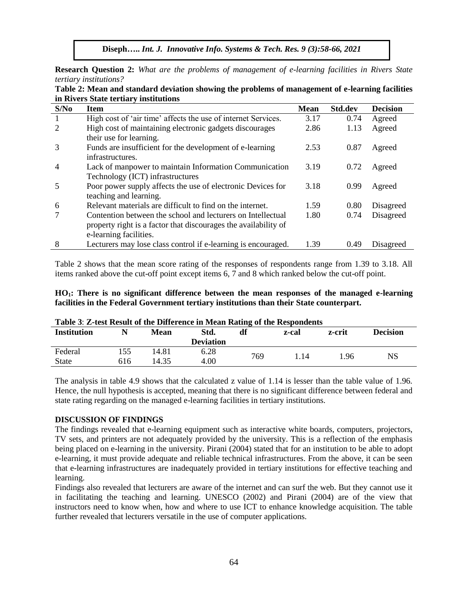**Research Question 2:** *What are the problems of management of e-learning facilities in Rivers State tertiary institutions?*

|                             | in Rivers State tertiary institutions                           |             |                |                 |
|-----------------------------|-----------------------------------------------------------------|-------------|----------------|-----------------|
| S/No                        | <b>Item</b>                                                     | <b>Mean</b> | <b>Std.dev</b> | <b>Decision</b> |
|                             | High cost of 'air time' affects the use of internet Services.   | 3.17        | 0.74           | Agreed          |
| $\mathcal{D}_{\mathcal{A}}$ | High cost of maintaining electronic gadgets discourages         | 2.86        | 1.13           | Agreed          |
|                             | their use for learning.                                         |             |                |                 |
| 3                           | Funds are insufficient for the development of e-learning        | 2.53        | 0.87           | Agreed          |
|                             | infrastructures.                                                |             |                |                 |
| $\overline{4}$              | Lack of manpower to maintain Information Communication          | 3.19        | 0.72           | Agreed          |
|                             | Technology (ICT) infrastructures                                |             |                |                 |
| 5                           | Poor power supply affects the use of electronic Devices for     | 3.18        | 0.99           | Agreed          |
|                             | teaching and learning.                                          |             |                |                 |
| 6                           | Relevant materials are difficult to find on the internet.       | 1.59        | 0.80           | Disagreed       |
|                             | Contention between the school and lecturers on Intellectual     | 1.80        | 0.74           | Disagreed       |
|                             | property right is a factor that discourages the availability of |             |                |                 |
|                             | e-learning facilities.                                          |             |                |                 |
| 8                           | Lecturers may lose class control if e-learning is encouraged.   | 1.39        | 0.49           | Disagreed       |

**Table 2: Mean and standard deviation showing the problems of management of e-learning facilities in Rivers State tertiary institutions**

Table 2 shows that the mean score rating of the responses of respondents range from 1.39 to 3.18. All items ranked above the cut-off point except items 6, 7 and 8 which ranked below the cut-off point.

|  |                                                                                          |  |  |  | $HO_1$ : There is no significant difference between the mean responses of the managed e-learning |
|--|------------------------------------------------------------------------------------------|--|--|--|--------------------------------------------------------------------------------------------------|
|  | facilities in the Federal Government tertiary institutions than their State counterpart. |  |  |  |                                                                                                  |

| <b>Table 5. Z-test Result of the Difference in Mean Rating of the Respondents</b> |      |       |                  |     |       |        |                 |  |  |  |
|-----------------------------------------------------------------------------------|------|-------|------------------|-----|-------|--------|-----------------|--|--|--|
| <b>Institution</b>                                                                | Mean |       | Std.             | df  | z-cal | z-crit | <b>Decision</b> |  |  |  |
|                                                                                   |      |       | <b>Deviation</b> |     |       |        |                 |  |  |  |
| Federal                                                                           | 155  | 14.81 | 6.28             | 769 | 1.14  | 1.96   | NS              |  |  |  |
| <b>State</b>                                                                      | 616  | 14.35 | 4.00             |     |       |        |                 |  |  |  |

**Table 3**: **Z-test Result of the Difference in Mean Rating of the Respondents**

The analysis in table 4.9 shows that the calculated z value of 1.14 is lesser than the table value of 1.96. Hence, the null hypothesis is accepted, meaning that there is no significant difference between federal and state rating regarding on the managed e-learning facilities in tertiary institutions.

#### **DISCUSSION OF FINDINGS**

The findings revealed that e-learning equipment such as interactive white boards, computers, projectors, TV sets, and printers are not adequately provided by the university. This is a reflection of the emphasis being placed on e-learning in the university. Pirani (2004) stated that for an institution to be able to adopt e-learning, it must provide adequate and reliable technical infrastructures. From the above, it can be seen that e-learning infrastructures are inadequately provided in tertiary institutions for effective teaching and learning.

Findings also revealed that lecturers are aware of the internet and can surf the web. But they cannot use it in facilitating the teaching and learning. UNESCO (2002) and Pirani (2004) are of the view that instructors need to know when, how and where to use ICT to enhance knowledge acquisition. The table further revealed that lecturers versatile in the use of computer applications.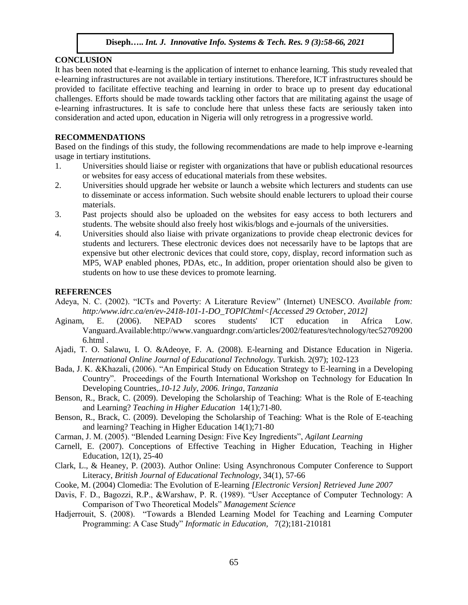#### **CONCLUSION**

It has been noted that e-learning is the application of internet to enhance learning. This study revealed that e-learning infrastructures are not available in tertiary institutions. Therefore, ICT infrastructures should be provided to facilitate effective teaching and learning in order to brace up to present day educational challenges. Efforts should be made towards tackling other factors that are militating against the usage of e-learning infrastructures. It is safe to conclude here that unless these facts are seriously taken into consideration and acted upon, education in Nigeria will only retrogress in a progressive world.

#### **RECOMMENDATIONS**

Based on the findings of this study, the following recommendations are made to help improve e-learning usage in tertiary institutions.

- 1. Universities should liaise or register with organizations that have or publish educational resources or websites for easy access of educational materials from these websites.
- 2. Universities should upgrade her website or launch a website which lecturers and students can use to disseminate or access information. Such website should enable lecturers to upload their course materials.
- 3. Past projects should also be uploaded on the websites for easy access to both lecturers and students. The website should also freely host wikis/blogs and e-journals of the universities.
- 4. Universities should also liaise with private organizations to provide cheap electronic devices for students and lecturers. These electronic devices does not necessarily have to be laptops that are expensive but other electronic devices that could store, copy, display, record information such as MP5, WAP enabled phones, PDAs, etc., In addition, proper orientation should also be given to students on how to use these devices to promote learning.

#### **REFERENCES**

- Adeya, N. C. (2002). "ICTs and Poverty: A Literature Review" (Internet) UNESCO*. Available from: http:/www.idrc.ca/en/ev-2418-101-1-DO\_TOPIChtml<[Accessed 29 October, 2012]*
- Aginam, E. (2006). NEPAD scores students' ICT education in Africa Low. Vanguard.Available:http://www.vanguardngr.com/articles/2002/features/technology/tec52709200 6.html .
- Ajadi, T. O. Salawu, I. O. &Adeoye, F. A. (2008). E-learning and Distance Education in Nigeria. *International Online Journal of Educational Technology.* Turkish. 2(97); 102-123
- Bada, J. K. &Khazali, (2006). "An Empirical Study on Education Strategy to E-learning in a Developing Country". Proceedings of the Fourth International Workshop on Technology for Education In Developing Countries,.*10-12 July, 2006. Iringa, Tanzania*
- Benson, R., Brack, C. (2009). Developing the Scholarship of Teaching: What is the Role of E-teaching and Learning? *Teaching in Higher Education* 14(1);71-80.
- Benson, R., Brack, C. (2009). Developing the Scholarship of Teaching: What is the Role of E-teaching and learning? Teaching in Higher Education 14(1);71-80
- Carman, J. M. (2005). "Blended Learning Design: Five Key Ingredients", *Agilant Learning*
- Carnell, E. (2007). Conceptions of Effective Teaching in Higher Education, Teaching in Higher Education, 12(1), 25-40
- Clark, L., & Heaney, P. (2003). Author Online: Using Asynchronous Computer Conference to Support Literacy, *British Journal of Educational Technology*, 34(1), 57-66
- Cooke, M. (2004) Clomedia: The Evolution of E-learning *[Electronic Version] Retrieved June 2007*
- Davis, F. D., Bagozzi, R.P., &Warshaw, P. R. (1989). "User Acceptance of Computer Technology: A Comparison of Two Theoretical Models" *Management Science*
- Hadjerrouit, S. (2008). "Towards a Blended Learning Model for Teaching and Learning Computer Programming: A Case Study" *Informatic in Education,* 7(2);181-210181